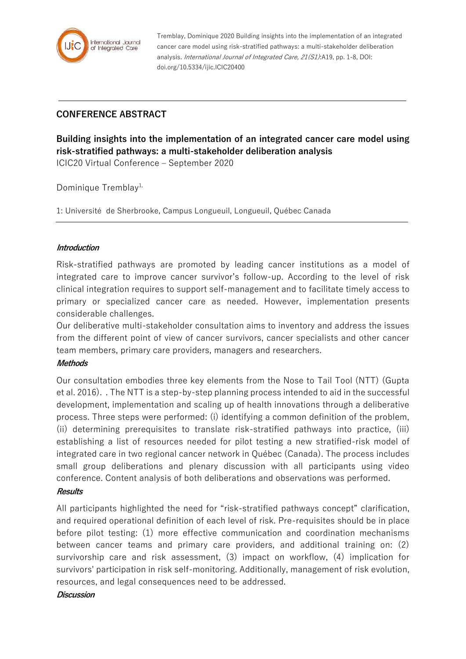

Tremblay, Dominique 2020 Building insights into the implementation of an integrated cancer care model using risk-stratified pathways: a multi-stakeholder deliberation analysis. International Journal of Integrated Care, 21(S1):A19, pp. 1-8, DOI: doi.org/10.5334/ijic.ICIC20400

# **CONFERENCE ABSTRACT**

**Building insights into the implementation of an integrated cancer care model using risk-stratified pathways: a multi-stakeholder deliberation analysis**

ICIC20 Virtual Conference – September 2020

Dominique Tremblay<sup>1,</sup>

1: Université de Sherbrooke, Campus Longueuil, Longueuil, Québec Canada

## **Introduction**

Risk-stratified pathways are promoted by leading cancer institutions as a model of integrated care to improve cancer survivor's follow-up. According to the level of risk clinical integration requires to support self-management and to facilitate timely access to primary or specialized cancer care as needed. However, implementation presents considerable challenges.

Our deliberative multi-stakeholder consultation aims to inventory and address the issues from the different point of view of cancer survivors, cancer specialists and other cancer team members, primary care providers, managers and researchers.

#### **Methods**

Our consultation embodies three key elements from the Nose to Tail Tool (NTT) (Gupta et al. 2016). . The NTT is a step-by-step planning process intended to aid in the successful development, implementation and scaling up of health innovations through a deliberative process. Three steps were performed: (i) identifying a common definition of the problem, (ii) determining prerequisites to translate risk-stratified pathways into practice, (iii) establishing a list of resources needed for pilot testing a new stratified-risk model of integrated care in two regional cancer network in Québec (Canada). The process includes small group deliberations and plenary discussion with all participants using video conference. Content analysis of both deliberations and observations was performed.

#### **Results**

All participants highlighted the need for "risk-stratified pathways concept" clarification, and required operational definition of each level of risk. Pre-requisites should be in place before pilot testing: (1) more effective communication and coordination mechanisms between cancer teams and primary care providers, and additional training on: (2) survivorship care and risk assessment, (3) impact on workflow, (4) implication for survivors' participation in risk self-monitoring. Additionally, management of risk evolution, resources, and legal consequences need to be addressed.

#### **Discussion**